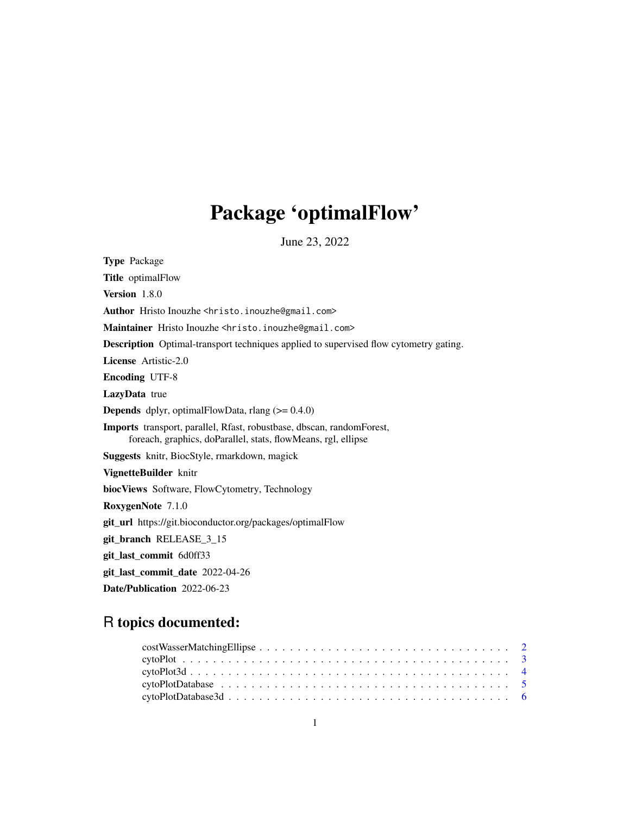## Package 'optimalFlow'

June 23, 2022

Type Package Title optimalFlow Version 1.8.0 Author Hristo Inouzhe <hristo.inouzhe@gmail.com> Maintainer Hristo Inouzhe <hristo.inouzhe@gmail.com> Description Optimal-transport techniques applied to supervised flow cytometry gating. License Artistic-2.0 Encoding UTF-8 LazyData true **Depends** dplyr, optimalFlowData, rlang  $(>= 0.4.0)$ Imports transport, parallel, Rfast, robustbase, dbscan, randomForest, foreach, graphics, doParallel, stats, flowMeans, rgl, ellipse Suggests knitr, BiocStyle, rmarkdown, magick VignetteBuilder knitr biocViews Software, FlowCytometry, Technology RoxygenNote 7.1.0 git\_url https://git.bioconductor.org/packages/optimalFlow git\_branch RELEASE\_3\_15 git\_last\_commit 6d0ff33 git\_last\_commit\_date 2022-04-26 Date/Publication 2022-06-23

## R topics documented:

| $cytoPlotData base3d \ldots \ldots \ldots \ldots \ldots \ldots \ldots \ldots \ldots \ldots \ldots \ldots \ldots 6$ |  |  |  |  |  |  |  |  |  |  |  |  |  |  |  |  |  |
|--------------------------------------------------------------------------------------------------------------------|--|--|--|--|--|--|--|--|--|--|--|--|--|--|--|--|--|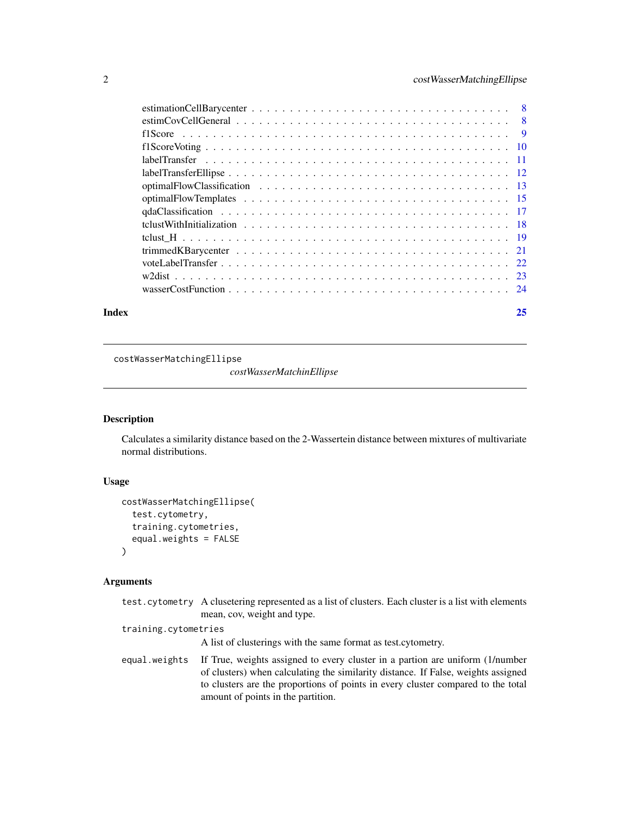### <span id="page-1-0"></span>2 costWasserMatchingEllipse

| Index | 25 |
|-------|----|
|       |    |
|       |    |
|       |    |
|       |    |
|       |    |
|       |    |
|       |    |
|       |    |
|       |    |
|       |    |
|       |    |
|       |    |
|       |    |
|       |    |
|       |    |

costWasserMatchingEllipse

*costWasserMatchinEllipse*

### Description

Calculates a similarity distance based on the 2-Wassertein distance between mixtures of multivariate normal distributions.

### Usage

```
costWasserMatchingEllipse(
  test.cytometry,
  training.cytometries,
  equal.weights = FALSE
)
```

|                      | test. cytometry A clusetering represented as a list of clusters. Each cluster is a list with elements<br>mean, cov, weight and type.                                                                        |
|----------------------|-------------------------------------------------------------------------------------------------------------------------------------------------------------------------------------------------------------|
| training.cytometries | A list of clusterings with the same format as test. cytometry.                                                                                                                                              |
| equal.weights        | If True, weights assigned to every cluster in a partion are uniform (1/number                                                                                                                               |
|                      | of clusters) when calculating the similarity distance. If False, weights assigned<br>to clusters are the proportions of points in every cluster compared to the total<br>amount of points in the partition. |
|                      |                                                                                                                                                                                                             |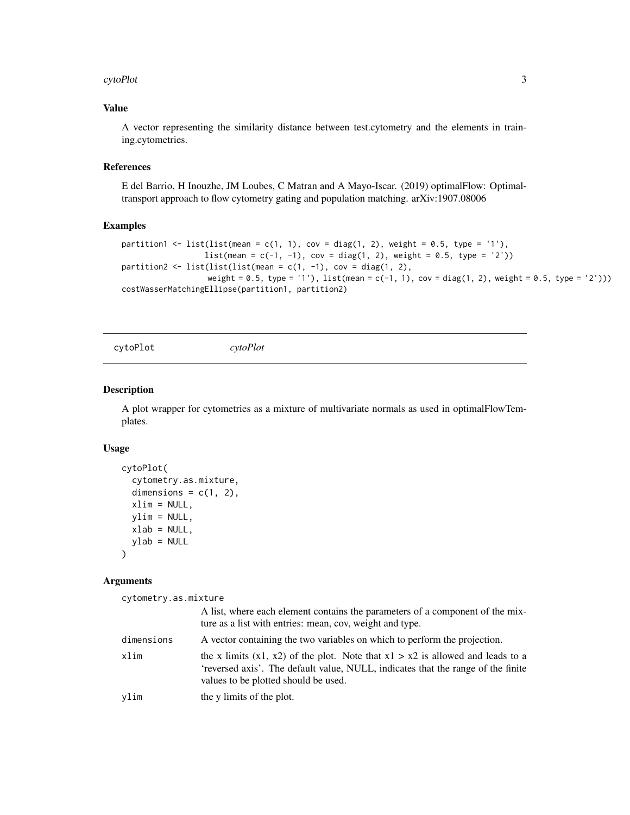#### <span id="page-2-0"></span>cytoPlot 3

### Value

A vector representing the similarity distance between test.cytometry and the elements in training.cytometries.

### References

E del Barrio, H Inouzhe, JM Loubes, C Matran and A Mayo-Iscar. (2019) optimalFlow: Optimaltransport approach to flow cytometry gating and population matching. arXiv:1907.08006

### Examples

```
partition1 <- list(list(mean = c(1, 1), cov = diag(1, 2), weight = 0.5, type = '1'),
                  list(\text{mean} = c(-1, -1), cov = diag(1, 2), weight = 0.5, type = '2'))partition2 <- list(list(list(mean = c(1, -1), cov = diag(1, 2),
                   weight = 0.5, type = '1'), list(mean = c(-1, 1), cov = diag(1, 2), weight = 0.5, type = '2')))
costWasserMatchingEllipse(partition1, partition2)
```
cytoPlot *cytoPlot*

### Description

A plot wrapper for cytometries as a mixture of multivariate normals as used in optimalFlowTemplates.

#### Usage

```
cytoPlot(
  cytometry.as.mixture,
  dimensions = c(1, 2),
  xlim = NULL,ylim = NULL,
  xlab = NULL,
  ylab = NULL
)
```
#### Arguments

cytometry.as.mixture

|            | A list, where each element contains the parameters of a component of the mix-<br>ture as a list with entries: mean, cov, weight and type.                                                                      |
|------------|----------------------------------------------------------------------------------------------------------------------------------------------------------------------------------------------------------------|
| dimensions | A vector containing the two variables on which to perform the projection.                                                                                                                                      |
| xlim       | the x limits $(x1, x2)$ of the plot. Note that $x1 > x2$ is allowed and leads to a<br>'reversed axis'. The default value, NULL, indicates that the range of the finite<br>values to be plotted should be used. |
| vlim       | the y limits of the plot.                                                                                                                                                                                      |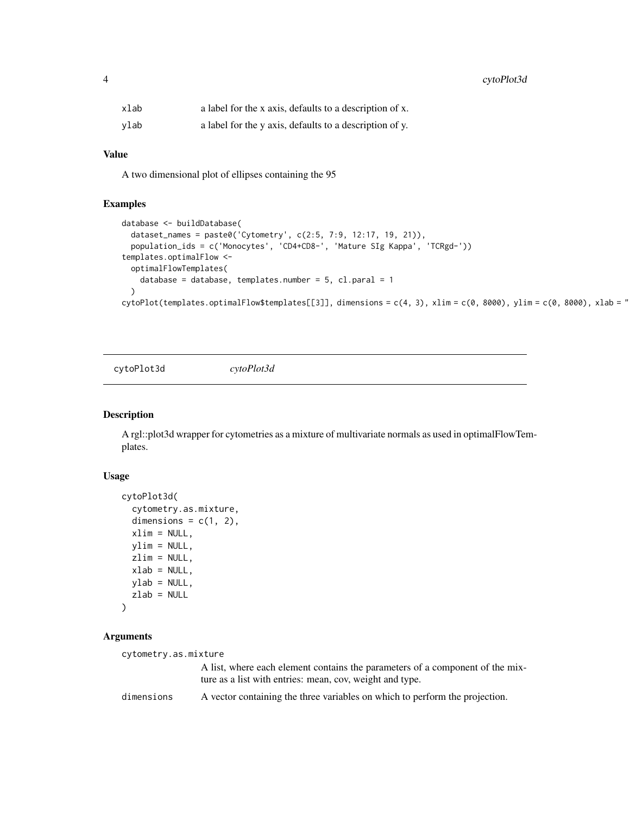<span id="page-3-0"></span>4 cytoPlot3d

| xlab | a label for the x axis, defaults to a description of x. |
|------|---------------------------------------------------------|
| vlab | a label for the y axis, defaults to a description of y. |

#### Value

A two dimensional plot of ellipses containing the 95

### Examples

```
database <- buildDatabase(
 dataset_names = paste0('Cytometry', c(2:5, 7:9, 12:17, 19, 21)),
 population_ids = c('Monocytes', 'CD4+CD8-', 'Mature SIg Kappa', 'TCRgd-'))
templates.optimalFlow <-
 optimalFlowTemplates(
   database = database, templates.number = 5, cl.paral = 1
 \lambdacytoPlot(templates.optimalFlow$templates[[3]], dimensions = c(4, 3), xlim = c(0, 8000), ylim = c(0, 8000), xlab = "
```
cytoPlot3d *cytoPlot3d*

#### Description

A rgl::plot3d wrapper for cytometries as a mixture of multivariate normals as used in optimalFlowTemplates.

### Usage

```
cytoPlot3d(
  cytometry.as.mixture,
  dimensions = c(1, 2),
 xlim = NULL,
 ylim = NULL,
 zlim = NULL,
  xlab = NULL,
 ylab = NULL,
  zlab = NULL
\lambda
```

```
cytometry.as.mixture
                  A list, where each element contains the parameters of a component of the mix-
                  ture as a list with entries: mean, cov, weight and type.
dimensions A vector containing the three variables on which to perform the projection.
```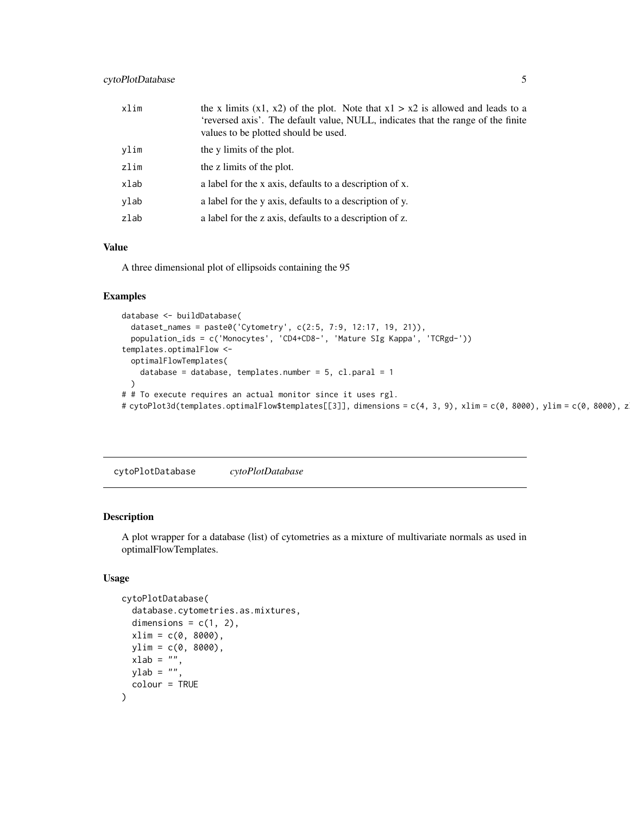<span id="page-4-0"></span>

| xlim | the x limits $(x1, x2)$ of the plot. Note that $x1 > x2$ is allowed and leads to a<br>'reversed axis'. The default value, NULL, indicates that the range of the finite<br>values to be plotted should be used. |
|------|----------------------------------------------------------------------------------------------------------------------------------------------------------------------------------------------------------------|
| ylim | the y limits of the plot.                                                                                                                                                                                      |
| zlim | the z limits of the plot.                                                                                                                                                                                      |
| xlab | a label for the x axis, defaults to a description of x.                                                                                                                                                        |
| ylab | a label for the y axis, defaults to a description of y.                                                                                                                                                        |
| zlab | a label for the z axis, defaults to a description of z.                                                                                                                                                        |

A three dimensional plot of ellipsoids containing the 95

#### Examples

```
database <- buildDatabase(
  dataset_names = paste0('Cytometry', c(2:5, 7:9, 12:17, 19, 21)),
  population_ids = c('Monocytes', 'CD4+CD8-', 'Mature SIg Kappa', 'TCRgd-'))
templates.optimalFlow <-
  optimalFlowTemplates(
   database = database, templates.number = 5, cl.paral = 1
  \lambda# # To execute requires an actual monitor since it uses rgl.
# cytoPlot3d(templates.optimalFlow$templates[[3]], dimensions = c(4, 3, 9), xlim = c(0, 8000), ylim = c(0, 8000), z
```
cytoPlotDatabase *cytoPlotDatabase*

### Description

A plot wrapper for a database (list) of cytometries as a mixture of multivariate normals as used in optimalFlowTemplates.

```
cytoPlotDatabase(
  database.cytometries.as.mixtures,
  dimensions = c(1, 2),
  xlim = c(0, 8000),
 ylim = c(0, 8000),
 xlab = "",
 ylab = "",
  colour = TRUE
)
```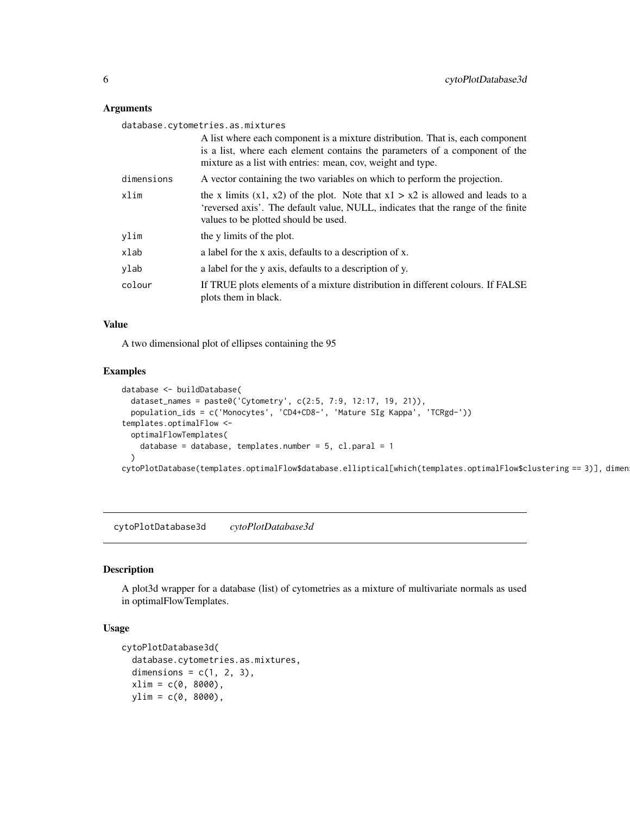### <span id="page-5-0"></span>Arguments

database.cytometries.as.mixtures

|            | A list where each component is a mixture distribution. That is, each component<br>is a list, where each element contains the parameters of a component of the<br>mixture as a list with entries: mean, cov, weight and type. |
|------------|------------------------------------------------------------------------------------------------------------------------------------------------------------------------------------------------------------------------------|
| dimensions | A vector containing the two variables on which to perform the projection.                                                                                                                                                    |
| xlim       | the x limits $(x1, x2)$ of the plot. Note that $x1 > x2$ is allowed and leads to a<br>'reversed axis'. The default value, NULL, indicates that the range of the finite<br>values to be plotted should be used.               |
| ylim       | the y limits of the plot.                                                                                                                                                                                                    |
| xlab       | a label for the x axis, defaults to a description of x.                                                                                                                                                                      |
| ylab       | a label for the y axis, defaults to a description of y.                                                                                                                                                                      |
| colour     | If TRUE plots elements of a mixture distribution in different colours. If FALSE<br>plots them in black.                                                                                                                      |

### Value

A two dimensional plot of ellipses containing the 95

#### Examples

```
database <- buildDatabase(
 dataset_names = paste0('Cytometry', c(2:5, 7:9, 12:17, 19, 21)),
 population_ids = c('Monocytes', 'CD4+CD8-', 'Mature SIg Kappa', 'TCRgd-'))
templates.optimalFlow <-
 optimalFlowTemplates(
   database = database, templates.number = 5, cl.paral = 1
 )
cytoPlotDatabase(templates.optimalFlow$database.elliptical[which(templates.optimalFlow$clustering == 3)], dimen
```
cytoPlotDatabase3d *cytoPlotDatabase3d*

### Description

A plot3d wrapper for a database (list) of cytometries as a mixture of multivariate normals as used in optimalFlowTemplates.

```
cytoPlotDatabase3d(
  database.cytometries.as.mixtures,
  dimensions = c(1, 2, 3),
  xlim = c(0, 8000),ylim = c(0, 8000),
```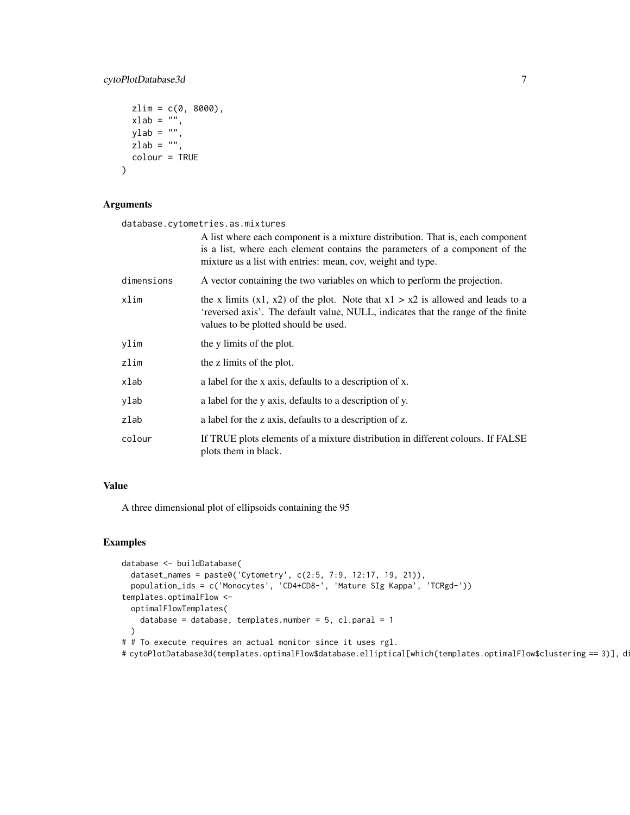### cytoPlotDatabase3d 7

```
zlim = c(0, 8000),
 xlab = ",
 ylab = "",
 zlab = ",
  colour = TRUE
\mathcal{E}
```
### Arguments

database.cytometries.as.mixtures

|            | A list where each component is a mixture distribution. That is, each component<br>is a list, where each element contains the parameters of a component of the<br>mixture as a list with entries: mean, cov, weight and type. |
|------------|------------------------------------------------------------------------------------------------------------------------------------------------------------------------------------------------------------------------------|
| dimensions | A vector containing the two variables on which to perform the projection.                                                                                                                                                    |
| xlim       | the x limits $(x1, x2)$ of the plot. Note that $x1 > x2$ is allowed and leads to a<br>'reversed axis'. The default value, NULL, indicates that the range of the finite<br>values to be plotted should be used.               |
| ylim       | the y limits of the plot.                                                                                                                                                                                                    |
| zlim       | the z limits of the plot.                                                                                                                                                                                                    |
| xlab       | a label for the x axis, defaults to a description of x.                                                                                                                                                                      |
| ylab       | a label for the y axis, defaults to a description of y.                                                                                                                                                                      |
| zlab       | a label for the z axis, defaults to a description of z.                                                                                                                                                                      |
| colour     | If TRUE plots elements of a mixture distribution in different colours. If FALSE<br>plots them in black.                                                                                                                      |

### Value

A three dimensional plot of ellipsoids containing the 95

```
database <- buildDatabase(
  dataset_names = paste0('Cytometry', c(2:5, 7:9, 12:17, 19, 21)),
  population_ids = c('Monocytes', 'CD4+CD8-', 'Mature SIg Kappa', 'TCRgd-'))
templates.optimalFlow <-
  optimalFlowTemplates(
   database = database, templates.number = 5, cl.paral = 1
  )
# # To execute requires an actual monitor since it uses rgl.
#cytoPlotDatabase3d(templates.optimalFlow$database.elliptical[which(templates.optimalFlow$clustering == 3)], d
```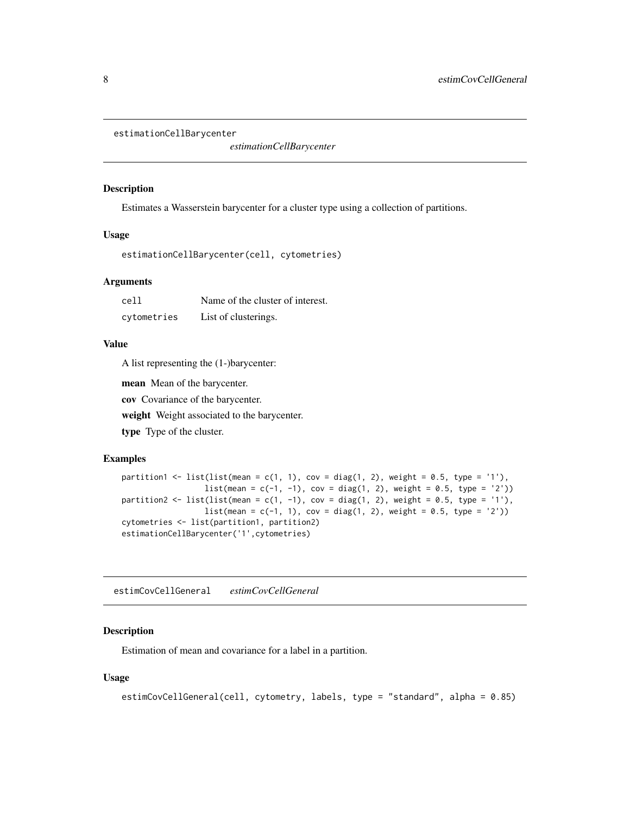```
estimationCellBarycenter
```
*estimationCellBarycenter*

#### Description

Estimates a Wasserstein barycenter for a cluster type using a collection of partitions.

### Usage

estimationCellBarycenter(cell, cytometries)

### Arguments

| cell        | Name of the cluster of interest. |
|-------------|----------------------------------|
| cytometries | List of clusterings.             |

### Value

A list representing the (1-)barycenter:

mean Mean of the barycenter.

cov Covariance of the barycenter.

weight Weight associated to the barycenter.

type Type of the cluster.

### Examples

```
partition1 <- list(list(mean = c(1, 1), cov = diag(1, 2), weight = 0.5, type = '1'),
                    list(\text{mean} = c(-1, -1), \text{cov} = diag(1, 2), weight = 0.5, type = '2'))partition2 <- list(list(mean = c(1, -1), cov = diag(1, 2), weight = 0.5, type = '1'),
                    list(\text{mean} = c(-1, 1), \text{cov} = \text{diag}(1, 2), \text{weight} = 0.5, \text{type} = '2'))cytometries <- list(partition1, partition2)
estimationCellBarycenter('1',cytometries)
```
estimCovCellGeneral *estimCovCellGeneral*

### Description

Estimation of mean and covariance for a label in a partition.

```
estimCovCellGeneral(cell, cytometry, labels, type = "standard", alpha = 0.85)
```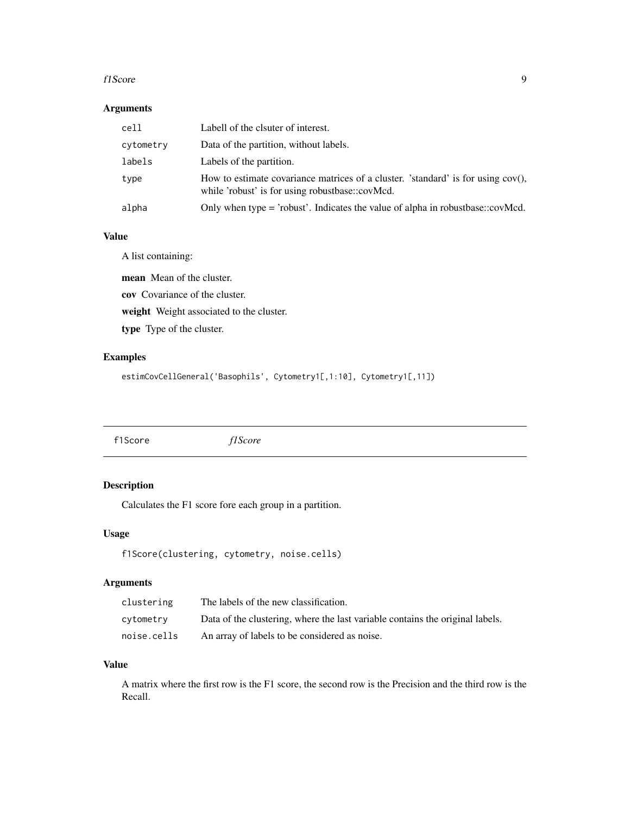#### <span id="page-8-0"></span>f1Score 9

### Arguments

| cell      | Labell of the clauter of interest.                                                                                                     |
|-----------|----------------------------------------------------------------------------------------------------------------------------------------|
| cytometry | Data of the partition, without labels.                                                                                                 |
| labels    | Labels of the partition.                                                                                                               |
| type      | How to estimate covariance matrices of a cluster. 'standard' is for using $cov()$ ,<br>while 'robust' is for using robustbase::covMcd. |
| alpha     | Only when type = 'robust'. Indicates the value of alpha in robustbase::covMcd.                                                         |

### Value

A list containing:

mean Mean of the cluster. cov Covariance of the cluster. weight Weight associated to the cluster. type Type of the cluster.

### Examples

estimCovCellGeneral('Basophils', Cytometry1[,1:10], Cytometry1[,11])

f1Score *f1Score*

### Description

Calculates the F1 score fore each group in a partition.

### Usage

```
f1Score(clustering, cytometry, noise.cells)
```
### Arguments

| clustering  | The labels of the new classification.                                         |
|-------------|-------------------------------------------------------------------------------|
| cytometry   | Data of the clustering, where the last variable contains the original labels. |
| noise.cells | An array of labels to be considered as noise.                                 |

### Value

A matrix where the first row is the F1 score, the second row is the Precision and the third row is the Recall.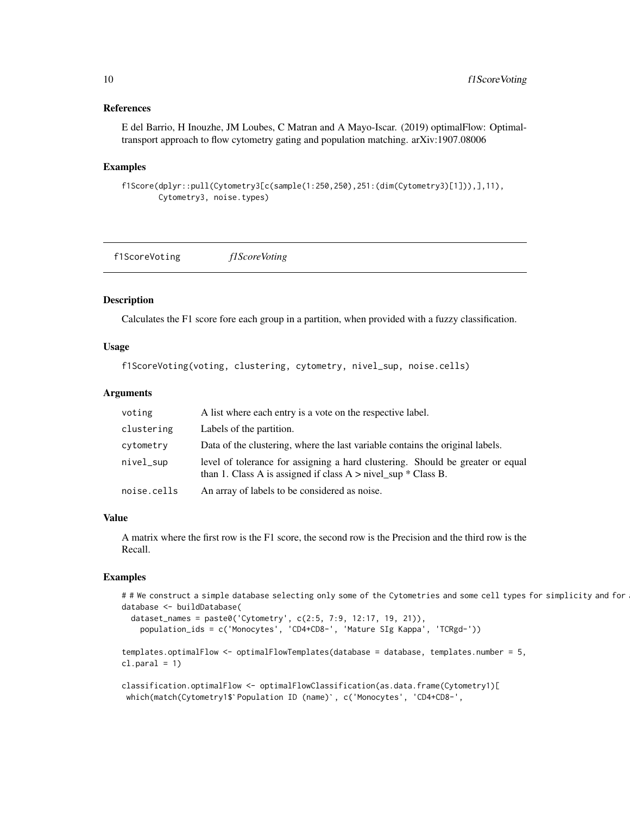### <span id="page-9-0"></span>References

E del Barrio, H Inouzhe, JM Loubes, C Matran and A Mayo-Iscar. (2019) optimalFlow: Optimaltransport approach to flow cytometry gating and population matching. arXiv:1907.08006

#### Examples

```
f1Score(dplyr::pull(Cytometry3[c(sample(1:250,250),251:(dim(Cytometry3)[1])),],11),
       Cytometry3, noise.types)
```
f1ScoreVoting *f1ScoreVoting*

### Description

Calculates the F1 score fore each group in a partition, when provided with a fuzzy classification.

### Usage

f1ScoreVoting(voting, clustering, cytometry, nivel\_sup, noise.cells)

#### Arguments

| voting      | A list where each entry is a vote on the respective label.                                                                                           |
|-------------|------------------------------------------------------------------------------------------------------------------------------------------------------|
| clustering  | Labels of the partition.                                                                                                                             |
| cytometry   | Data of the clustering, where the last variable contains the original labels.                                                                        |
| nivel_sup   | level of tolerance for assigning a hard clustering. Should be greater or equal<br>than 1. Class A is assigned if class $A > n$ ivel_sup $*$ Class B. |
| noise.cells | An array of labels to be considered as noise.                                                                                                        |

#### Value

A matrix where the first row is the F1 score, the second row is the Precision and the third row is the Recall.

```
# # We construct a simple database selecting only some of the Cytometries and some cell types for simplicity and for
database <- buildDatabase(
  dataset_names = paste0('Cytometry', c(2:5, 7:9, 12:17, 19, 21)),
     population_ids = c('Monocytes', 'CD4+CD8-', 'Mature SIg Kappa', 'TCRgd-'))
templates.optimalFlow <- optimalFlowTemplates(database = database, templates.number = 5,
cl.paral = 1)classification.optimalFlow <- optimalFlowClassification(as.data.frame(Cytometry1)[
 l.paral = 1)<br>lassification.optimalFlow <- optimalFlowClassification(as.data.frame(Cyto<br>which(match(Cytometry1$`Population ID (name)`, c('Monocytes', 'CD4+CD8-',
```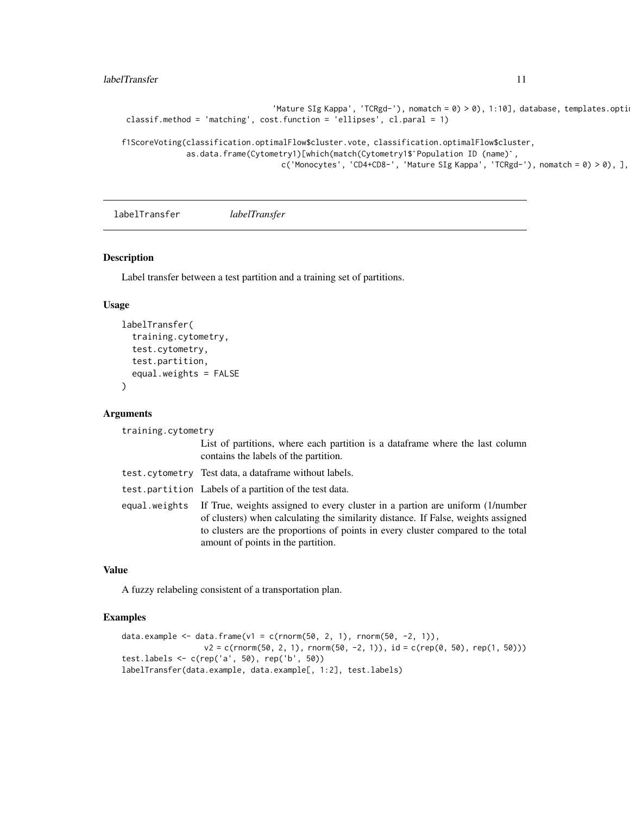#### <span id="page-10-0"></span>labelTransfer 11

```
'Mature SIg Kappa', 'TCRgd-'), nomatch = 0) > 0), 1:10], database, templates.opti
 classif.method = 'matching', cost.function = 'ellipses', cl.paral = 1)
f1ScoreVoting(classification.optimalFlow$cluster.vote, classification.optimalFlow$cluster,
                    d = 'matching', cost.function = 'ellipses', cl.paral = 1)<br>classification.optimalFlow$cluster.vote, classification.optimalFlow$clus;<br>as.data.frame(Cytometry1)[which(match(Cytometry1$`Population ID (name)`,
```
c('Monocytes', 'CD4+CD8-', 'Mature SIg Kappa', 'TCRgd-'), nomatch =  $0$ ) >  $0$ ), ],

labelTransfer *labelTransfer*

#### Description

Label transfer between a test partition and a training set of partitions.

### Usage

```
labelTransfer(
  training.cytometry,
  test.cytometry,
  test.partition,
  equal.weights = FALSE
\lambda
```
### Arguments

training.cytometry

List of partitions, where each partition is a dataframe where the last column contains the labels of the partition.

| test.cytometry Test data, a dataframe without labels.                                                                                                                                                                                                                                                      |
|------------------------------------------------------------------------------------------------------------------------------------------------------------------------------------------------------------------------------------------------------------------------------------------------------------|
| test.partition Labels of a partition of the test data.                                                                                                                                                                                                                                                     |
| equal weights If True, weights assigned to every cluster in a partion are uniform (1/number<br>of clusters) when calculating the similarity distance. If False, weights assigned<br>to clusters are the proportions of points in every cluster compared to the total<br>amount of points in the partition. |

#### Value

A fuzzy relabeling consistent of a transportation plan.

```
data.example <- data.frame(v1 = c(rnorm(50, 2, 1), rnorm(50, -2, 1)),
                  v2 = c(rnorm(50, 2, 1), rnorm(50, -2, 1)), id = c(rep(0, 50), rep(1, 50)))test.labels <- c(rep('a', 50), rep('b', 50))
labelTransfer(data.example, data.example[, 1:2], test.labels)
```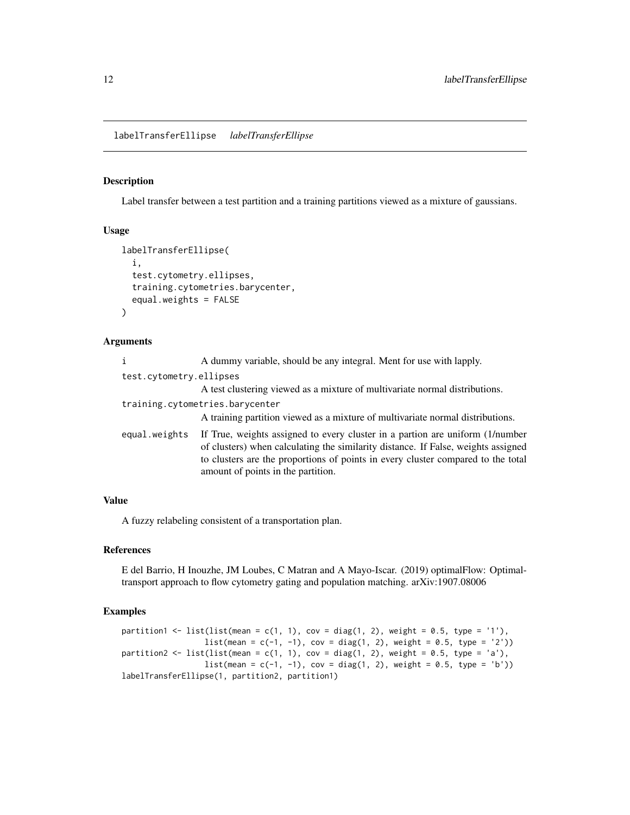<span id="page-11-0"></span>labelTransferEllipse *labelTransferEllipse*

### Description

Label transfer between a test partition and a training partitions viewed as a mixture of gaussians.

#### Usage

```
labelTransferEllipse(
  i,
  test.cytometry.ellipses,
  training.cytometries.barycenter,
  equal.weights = FALSE
)
```
#### Arguments

|                         | A dummy variable, should be any integral. Ment for use with lapply.                                                                                                                                                                                                                          |
|-------------------------|----------------------------------------------------------------------------------------------------------------------------------------------------------------------------------------------------------------------------------------------------------------------------------------------|
| test.cytometry.ellipses |                                                                                                                                                                                                                                                                                              |
|                         | A test clustering viewed as a mixture of multivariate normal distributions.                                                                                                                                                                                                                  |
|                         | training.cytometries.barycenter<br>A training partition viewed as a mixture of multivariate normal distributions.                                                                                                                                                                            |
| equal.weights           | If True, weights assigned to every cluster in a partion are uniform (1/number<br>of clusters) when calculating the similarity distance. If False, weights assigned<br>to clusters are the proportions of points in every cluster compared to the total<br>amount of points in the partition. |

### Value

A fuzzy relabeling consistent of a transportation plan.

### References

E del Barrio, H Inouzhe, JM Loubes, C Matran and A Mayo-Iscar. (2019) optimalFlow: Optimaltransport approach to flow cytometry gating and population matching. arXiv:1907.08006

```
partition1 <- list(list(mean = c(1, 1), cov = diag(1, 2), weight = 0.5, type = '1'),
                     list(\text{mean} = c(-1, -1), \text{cov} = \text{diag}(1, 2), \text{weight} = 0.5, \text{type} = '2'))partition2 \le list(list(mean = c(1, 1), cov = diag(1, 2), weight = 0.5, type = 'a'),
                     list(\text{mean} = c(-1, -1), \text{cov} = \text{diag}(1, 2), \text{weight} = 0.5, \text{type} = 'b')labelTransferEllipse(1, partition2, partition1)
```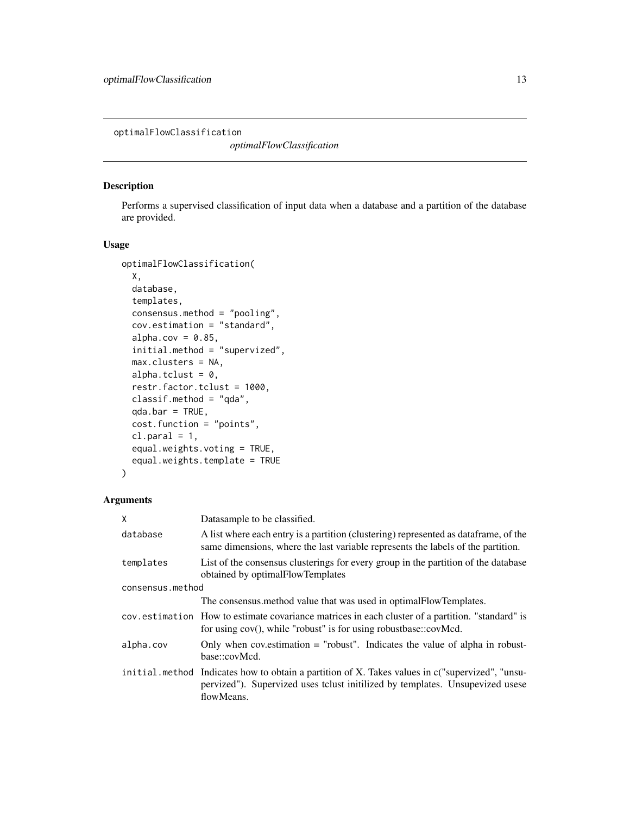<span id="page-12-0"></span>optimalFlowClassification

*optimalFlowClassification*

### Description

Performs a supervised classification of input data when a database and a partition of the database are provided.

#### Usage

```
optimalFlowClassification(
 X,
 database,
  templates,
 consensus.method = "pooling",
  cov.estimation = "standard",
  alpha.cov = 0.85,
  initial.method = "supervized",
 max.clusters = NA,
  alpha.tclust = 0,
  restr.factor.tclust = 1000,
  classif.method = "qda",
  qda.bar = TRUE,
  cost.function = "points",
  cl.parallel = 1,
  equal.weights.voting = TRUE,
  equal.weights.template = TRUE
)
```

| X                | Data sample to be classified.                                                                                                                                                                  |  |
|------------------|------------------------------------------------------------------------------------------------------------------------------------------------------------------------------------------------|--|
| database         | A list where each entry is a partition (clustering) represented as data frame, of the<br>same dimensions, where the last variable represents the labels of the partition.                      |  |
| templates        | List of the consensus clusterings for every group in the partition of the database<br>obtained by optimal Flow Templates                                                                       |  |
| consensus.method |                                                                                                                                                                                                |  |
|                  | The consensus method value that was used in optimal Flow Templates.                                                                                                                            |  |
|                  | cov. estimation How to estimate covariance matrices in each cluster of a partition. "standard" is<br>for using cov(), while "robust" is for using robustbase::covMcd.                          |  |
| alpha.cov        | Only when coverstimation $=$ "robust". Indicates the value of alpha in robust-<br>base∷covMcd.                                                                                                 |  |
|                  | initial method Indicates how to obtain a partition of X. Takes values in c("supervized", "unsu-<br>pervized"). Supervized uses tclust initilized by templates. Unsupevized usese<br>flowMeans. |  |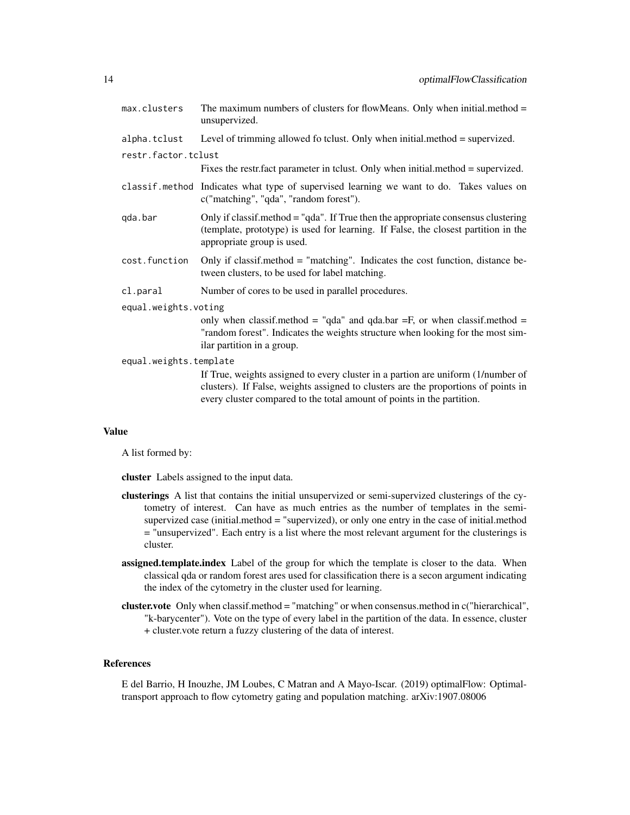| max.clusters           | The maximum numbers of clusters for flowMeans. Only when initial.method $=$<br>unsupervized.                                                                                                            |  |
|------------------------|---------------------------------------------------------------------------------------------------------------------------------------------------------------------------------------------------------|--|
| alpha.tclust           | Level of trimming allowed fo tclust. Only when initial method = supervized.                                                                                                                             |  |
| restr.factor.tclust    |                                                                                                                                                                                                         |  |
|                        | Fixes the restrifact parameter in to lust. Only when initial method = supervized.                                                                                                                       |  |
|                        | classif.method Indicates what type of supervised learning we want to do. Takes values on<br>c("matching", "qda", "random forest").                                                                      |  |
| gda.bar                | Only if classif.method $=$ "qda". If True then the appropriate consensus clustering<br>(template, prototype) is used for learning. If False, the closest partition in the<br>appropriate group is used. |  |
| cost.function          | Only if classif.method $=$ "matching". Indicates the cost function, distance be-<br>tween clusters, to be used for label matching.                                                                      |  |
| cl.paral               | Number of cores to be used in parallel procedures.                                                                                                                                                      |  |
| equal.weights.voting   |                                                                                                                                                                                                         |  |
|                        | only when classif.method = "qda" and qda.bar = F, or when classif.method =<br>"random forest". Indicates the weights structure when looking for the most sim-<br>ilar partition in a group.             |  |
| equal.weights.template |                                                                                                                                                                                                         |  |
|                        | If True, weights assigned to every cluster in a partion are uniform (1/number of                                                                                                                        |  |

clusters). If False, weights assigned to clusters are the proportions of points in every cluster compared to the total amount of points in the partition.

#### Value

A list formed by:

cluster Labels assigned to the input data.

- clusterings A list that contains the initial unsupervized or semi-supervized clusterings of the cytometry of interest. Can have as much entries as the number of templates in the semisupervized case (initial.method = "supervized), or only one entry in the case of initial.method = "unsupervized". Each entry is a list where the most relevant argument for the clusterings is cluster.
- assigned.template.index Label of the group for which the template is closer to the data. When classical qda or random forest ares used for classification there is a secon argument indicating the index of the cytometry in the cluster used for learning.
- cluster.vote Only when classif.method = "matching" or when consensus.method in c("hierarchical", "k-barycenter"). Vote on the type of every label in the partition of the data. In essence, cluster + cluster.vote return a fuzzy clustering of the data of interest.

### References

E del Barrio, H Inouzhe, JM Loubes, C Matran and A Mayo-Iscar. (2019) optimalFlow: Optimaltransport approach to flow cytometry gating and population matching. arXiv:1907.08006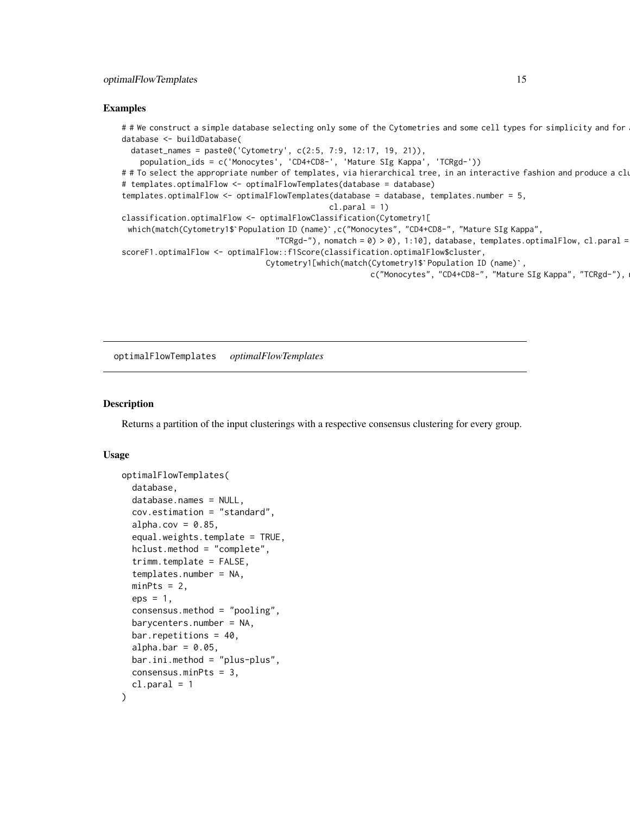#### <span id="page-14-0"></span>Examples

```
# # We construct a simple database selecting only some of the Cytometries and some cell types for simplicity and for
database <- buildDatabase(
  dataset_names = paste0('Cytometry', c(2:5, 7:9, 12:17, 19, 21)),
     population_ids = c('Monocytes', 'CD4+CD8-', 'Mature SIg Kappa', 'TCRgd-'))
# # To select the appropriate number of templates, via hierarchical tree, in an interactive fashion and produce a clustering we can also use:
# templates.optimalFlow <- optimalFlowTemplates(database = database)
templates.optimalFlow <- optimalFlowTemplates(database = database, templates.number = 5,
                                                             cl.parallel = 1)classification.optimalFlow <- optimalFlowClassification(Cytometry1[
  emplates.optimalFlow <- optimalFlowTemplates(database = database, templates.number = 5,<br>cl.paral = 1)<br>lassification.optimalFlow <- optimalFlowClassification(Cytometry1[<br>which(match(Cytometry1$`Population ID (name)`,c("Mono
                                             "TCRgd-"), nomatch = 0) > 0), 1:10], database, templates.optimalFlow, cl.paral =
scoreF1.optimalFlow <- optimalFlow::f1Score(classification.optimalFlow$cluster,
                                           tion ID (name)`,c("Monocytes", "CD4+CD8-", "Mature SIg Kapp"<br>TCRgd-"), nomatch = 0) > 0), 1:10], database, templates.<br>low::f1Score(classification.optimalFlow$cluster,<br>Cytometry1[which(match(Cytometry1$`Population ID (name)
                                                                          c("Monocytes", "CD4+CD8-", "Mature SIg Kappa", "TCRgd-"),
```
optimalFlowTemplates *optimalFlowTemplates*

#### **Description**

Returns a partition of the input clusterings with a respective consensus clustering for every group.

```
optimalFlowTemplates(
  database,
  database.names = NULL,
  cov.estimation = "standard",
  alpha.cov = 0.85,
  equal.weights.template = TRUE,
  hclust.method = "complete",
  trimm.template = FALSE,
  templates.number = NA,
 minPts = 2,eps = 1,
  consensus.method = "pooling",
  barycenters.number = NA,
  bar.repetitions = 40,
  alpha. bar = 0.05,
  bar.ini.method = "plus-plus",
  consensus.minPts = 3,
  cl.parallel = 1)
```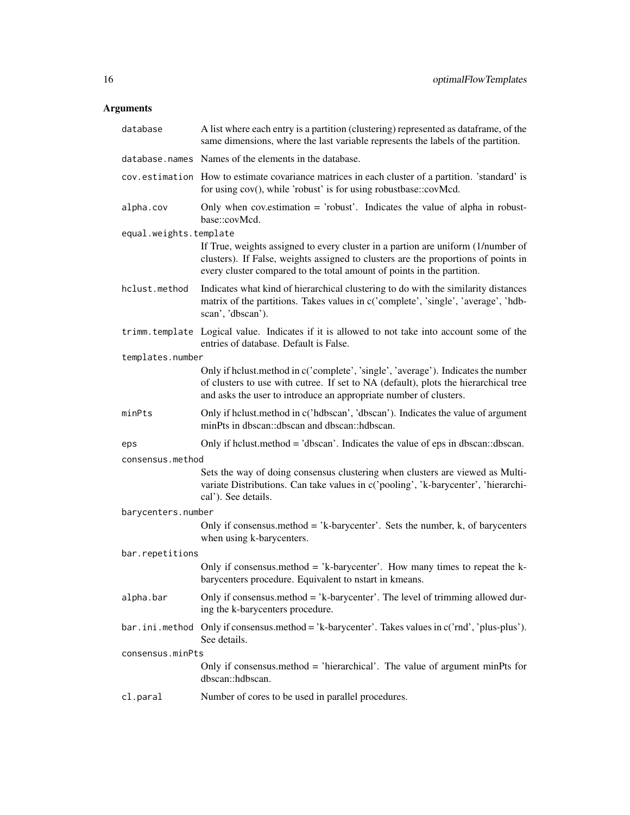| database               | A list where each entry is a partition (clustering) represented as dataframe, of the<br>same dimensions, where the last variable represents the labels of the partition.                                                                         |  |
|------------------------|--------------------------------------------------------------------------------------------------------------------------------------------------------------------------------------------------------------------------------------------------|--|
|                        | database.names Names of the elements in the database.                                                                                                                                                                                            |  |
|                        | cov.estimation How to estimate covariance matrices in each cluster of a partition. 'standard' is<br>for using cov(), while 'robust' is for using robustbase::covMcd.                                                                             |  |
| alpha.cov              | Only when cov. estimation $=$ 'robust'. Indicates the value of alpha in robust-<br>base::covMcd.                                                                                                                                                 |  |
| equal.weights.template |                                                                                                                                                                                                                                                  |  |
|                        | If True, weights assigned to every cluster in a partion are uniform (1/number of<br>clusters). If False, weights assigned to clusters are the proportions of points in<br>every cluster compared to the total amount of points in the partition. |  |
| hclust.method          | Indicates what kind of hierarchical clustering to do with the similarity distances<br>matrix of the partitions. Takes values in c('complete', 'single', 'average', 'hdb-<br>scan', 'dbscan').                                                    |  |
|                        | trimm.template Logical value. Indicates if it is allowed to not take into account some of the<br>entries of database. Default is False.                                                                                                          |  |
| templates.number       |                                                                                                                                                                                                                                                  |  |
|                        | Only if helust.method in c('complete', 'single', 'average'). Indicates the number<br>of clusters to use with cutree. If set to NA (default), plots the hierarchical tree<br>and asks the user to introduce an appropriate number of clusters.    |  |
| minPts                 | Only if helust.method in c('hdbscan', 'dbscan'). Indicates the value of argument<br>minPts in dbscan::dbscan and dbscan::hdbscan.                                                                                                                |  |
| eps                    | Only if helust.method = 'dbscan'. Indicates the value of eps in dbscan::dbscan.                                                                                                                                                                  |  |
| consensus.method       |                                                                                                                                                                                                                                                  |  |
|                        | Sets the way of doing consensus clustering when clusters are viewed as Multi-<br>variate Distributions. Can take values in c('pooling', 'k-barycenter', 'hierarchi-<br>cal'). See details.                                                       |  |
| barycenters.number     |                                                                                                                                                                                                                                                  |  |
|                        | Only if consensus method = 'k-barycenter'. Sets the number, $k$ , of barycenters<br>when using k-barycenters.                                                                                                                                    |  |
| bar.repetitions        |                                                                                                                                                                                                                                                  |  |
|                        | Only if consensus.method = 'k-barycenter'. How many times to repeat the k-<br>barycenters procedure. Equivalent to nstart in kmeans.                                                                                                             |  |
| alpha.bar              | Only if consensus method $=$ 'k-barycenter'. The level of trimming allowed dur-<br>ing the k-barycenters procedure.                                                                                                                              |  |
| bar.ini.method         | Only if consensus method = 'k-barycenter'. Takes values in c('rnd', 'plus-plus').<br>See details.                                                                                                                                                |  |
| consensus.minPts       |                                                                                                                                                                                                                                                  |  |
|                        | Only if consensus method = 'hierarchical'. The value of argument minPts for<br>dbscan::hdbscan.                                                                                                                                                  |  |
| cl.paral               | Number of cores to be used in parallel procedures.                                                                                                                                                                                               |  |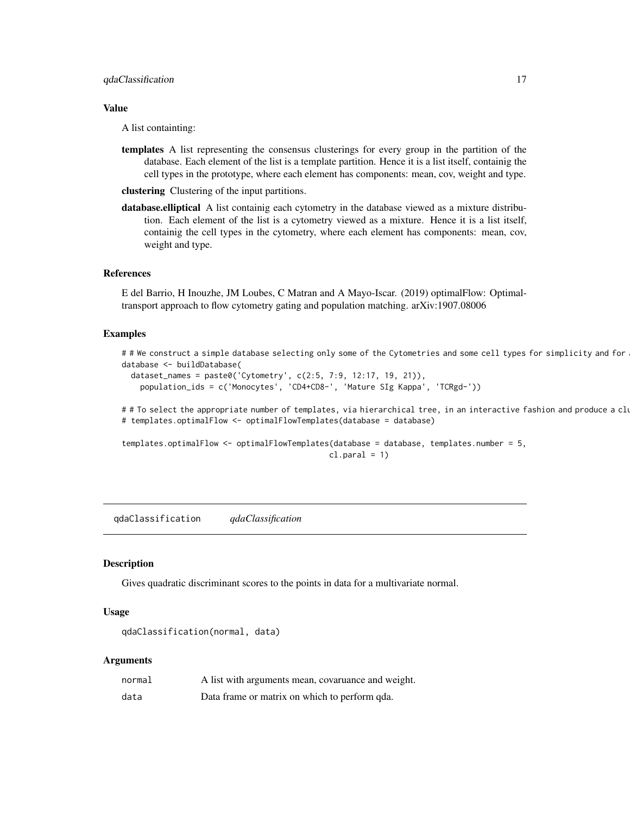<span id="page-16-0"></span>A list containting:

templates A list representing the consensus clusterings for every group in the partition of the database. Each element of the list is a template partition. Hence it is a list itself, containig the cell types in the prototype, where each element has components: mean, cov, weight and type.

clustering Clustering of the input partitions.

database.elliptical A list containig each cytometry in the database viewed as a mixture distribution. Each element of the list is a cytometry viewed as a mixture. Hence it is a list itself, containig the cell types in the cytometry, where each element has components: mean, cov, weight and type.

#### References

E del Barrio, H Inouzhe, JM Loubes, C Matran and A Mayo-Iscar. (2019) optimalFlow: Optimaltransport approach to flow cytometry gating and population matching. arXiv:1907.08006

#### Examples

```
##We construct a simple database selecting only some of the Cytometries and some cell types for simplicity and for
database <- buildDatabase(
```

```
dataset_names = paste0('Cytometry', c(2:5, 7:9, 12:17, 19, 21)),
  population_ids = c('Monocytes', 'CD4+CD8-', 'Mature SIg Kappa', 'TCRgd-'))
```
# # To select the appropriate number of templates, via hierarchical tree, in an interactive fashion and produce a clu # templates.optimalFlow <- optimalFlowTemplates(database = database)

templates.optimalFlow <- optimalFlowTemplates(database = database, templates.number = 5,  $cl.parallel = 1)$ 

qdaClassification *qdaClassification*

#### Description

Gives quadratic discriminant scores to the points in data for a multivariate normal.

#### Usage

```
qdaClassification(normal, data)
```

| normal | A list with arguments mean, covaruance and weight. |
|--------|----------------------------------------------------|
| data   | Data frame or matrix on which to perform qda.      |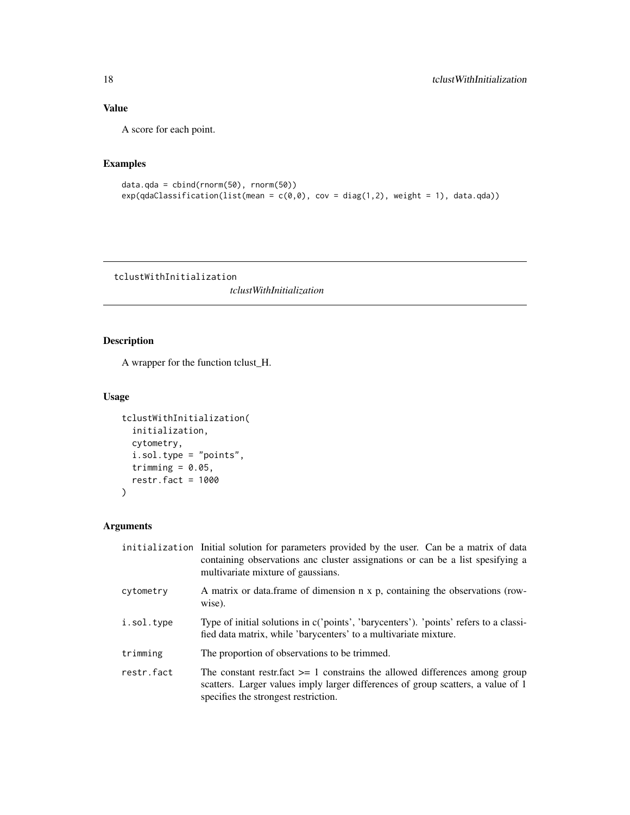A score for each point.

### Examples

```
data.qda = cbind(rnorm(50), rnorm(50))
exp(qdaClassifier(1ist(mean = c(0,0)), cov = diag(1,2), weight = 1), data(qda))
```
tclustWithInitialization

*tclustWithInitialization*

### Description

A wrapper for the function tclust\_H.

### Usage

```
tclustWithInitialization(
  initialization,
 cytometry,
  i.sol.type = "points",
  trimming = 0.05,
  restr.fact = 1000\mathcal{L}
```

|            | initialization Initial solution for parameters provided by the user. Can be a matrix of data<br>containing observations and cluster assignations or can be a list spesifying a<br>multivariate mixture of gaussians. |
|------------|----------------------------------------------------------------------------------------------------------------------------------------------------------------------------------------------------------------------|
| cytometry  | A matrix or data.frame of dimension n x p, containing the observations (row-<br>wise).                                                                                                                               |
| i.sol.type | Type of initial solutions in c('points', 'barycenters'). 'points' refers to a classi-<br>fied data matrix, while 'barycenters' to a multivariate mixture.                                                            |
| trimming   | The proportion of observations to be trimmed.                                                                                                                                                                        |
| restr.fact | The constant restrifact $>= 1$ constrains the allowed differences among group<br>scatters. Larger values imply larger differences of group scatters, a value of 1<br>specifies the strongest restriction.            |

<span id="page-17-0"></span>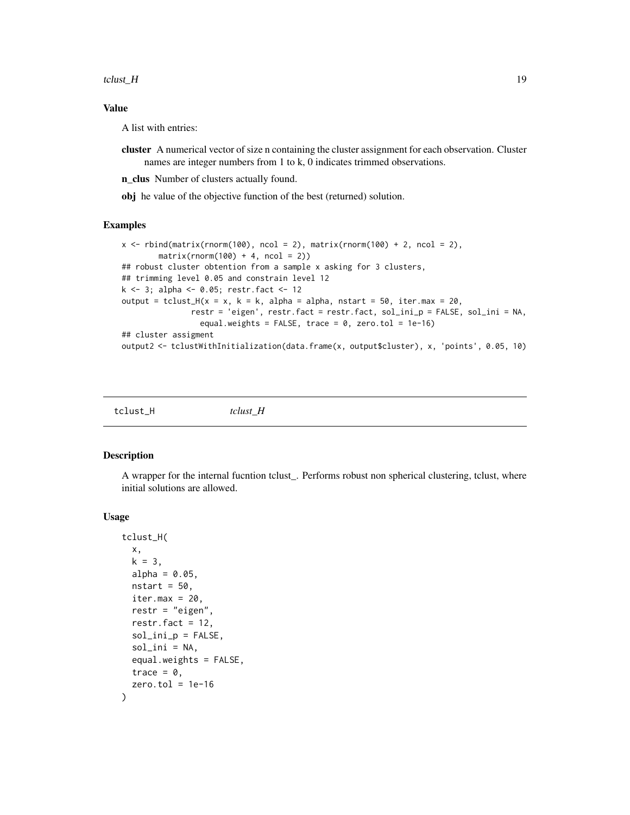<span id="page-18-0"></span>tclust\_H  $\,$  19

### Value

A list with entries:

cluster A numerical vector of size n containing the cluster assignment for each observation. Cluster names are integer numbers from 1 to k, 0 indicates trimmed observations.

n\_clus Number of clusters actually found.

obj he value of the objective function of the best (returned) solution.

### Examples

```
x \le rbind(matrix(rnorm(100), ncol = 2), matrix(rnorm(100) + 2, ncol = 2),
        matrix(rnorm(100) + 4, ncol = 2))## robust cluster obtention from a sample x asking for 3 clusters,
## trimming level 0.05 and constrain level 12
k <- 3; alpha <- 0.05; restr.fact <- 12
output = tclust_H(x = x, k = k, alpha = alpha, nstart = 50, iter.max = 20,
               restr = 'eigen', restr.fact = restr.fact, sol_ini_p = FALSE, sol_ini = NA,
                 equal.weights = FALSE, trace = 0, zero.tol = 1e-16)
## cluster assigment
output2 <- tclustWithInitialization(data.frame(x, output$cluster), x, 'points', 0.05, 10)
```

| tclust_H<br>tclust H |
|----------------------|
|----------------------|

### Description

A wrapper for the internal fucntion tclust\_. Performs robust non spherical clustering, tclust, where initial solutions are allowed.

```
tclust_H(
 x,
  k = 3,
 alpha = 0.05,
 nstart = 50,
  iter.max = 20,
  restr = "eigen",
  restr.fact = 12,sol_ini_p = FALSE,
  sol_ini = NA,
  equal.weights = FALSE,
  trace = \theta,
  zero.tol = 1e-16)
```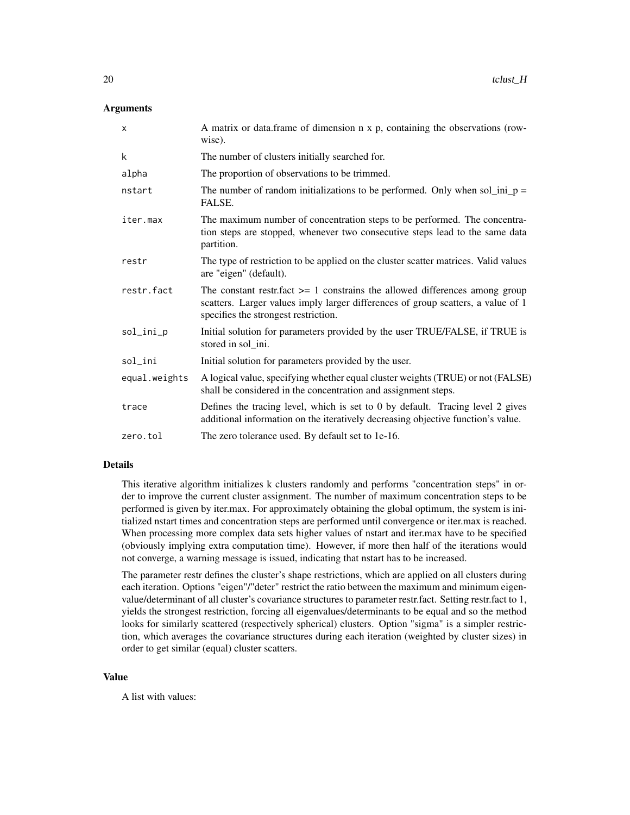### **Arguments**

| $\mathsf{x}$  | A matrix or data.frame of dimension n x p, containing the observations (row-<br>wise).                                                                                                                      |
|---------------|-------------------------------------------------------------------------------------------------------------------------------------------------------------------------------------------------------------|
| k             | The number of clusters initially searched for.                                                                                                                                                              |
| alpha         | The proportion of observations to be trimmed.                                                                                                                                                               |
| nstart        | The number of random initializations to be performed. Only when sol_ini_p =<br>FALSE.                                                                                                                       |
| iter.max      | The maximum number of concentration steps to be performed. The concentra-<br>tion steps are stopped, whenever two consecutive steps lead to the same data<br>partition.                                     |
| restr         | The type of restriction to be applied on the cluster scatter matrices. Valid values<br>are "eigen" (default).                                                                                               |
| restr.fact    | The constant restrifact $\geq$ 1 constrains the allowed differences among group<br>scatters. Larger values imply larger differences of group scatters, a value of 1<br>specifies the strongest restriction. |
| sol_ini_p     | Initial solution for parameters provided by the user TRUE/FALSE, if TRUE is<br>stored in sol_ini.                                                                                                           |
| sol_ini       | Initial solution for parameters provided by the user.                                                                                                                                                       |
| equal.weights | A logical value, specifying whether equal cluster weights (TRUE) or not (FALSE)<br>shall be considered in the concentration and assignment steps.                                                           |
| trace         | Defines the tracing level, which is set to 0 by default. Tracing level 2 gives<br>additional information on the iteratively decreasing objective function's value.                                          |
| zero.tol      | The zero tolerance used. By default set to 1e-16.                                                                                                                                                           |

### Details

This iterative algorithm initializes k clusters randomly and performs "concentration steps" in order to improve the current cluster assignment. The number of maximum concentration steps to be performed is given by iter.max. For approximately obtaining the global optimum, the system is initialized nstart times and concentration steps are performed until convergence or iter.max is reached. When processing more complex data sets higher values of nstart and iter.max have to be specified (obviously implying extra computation time). However, if more then half of the iterations would not converge, a warning message is issued, indicating that nstart has to be increased.

The parameter restr defines the cluster's shape restrictions, which are applied on all clusters during each iteration. Options "eigen"/"deter" restrict the ratio between the maximum and minimum eigenvalue/determinant of all cluster's covariance structures to parameter restr.fact. Setting restr.fact to 1, yields the strongest restriction, forcing all eigenvalues/determinants to be equal and so the method looks for similarly scattered (respectively spherical) clusters. Option "sigma" is a simpler restriction, which averages the covariance structures during each iteration (weighted by cluster sizes) in order to get similar (equal) cluster scatters.

#### Value

A list with values: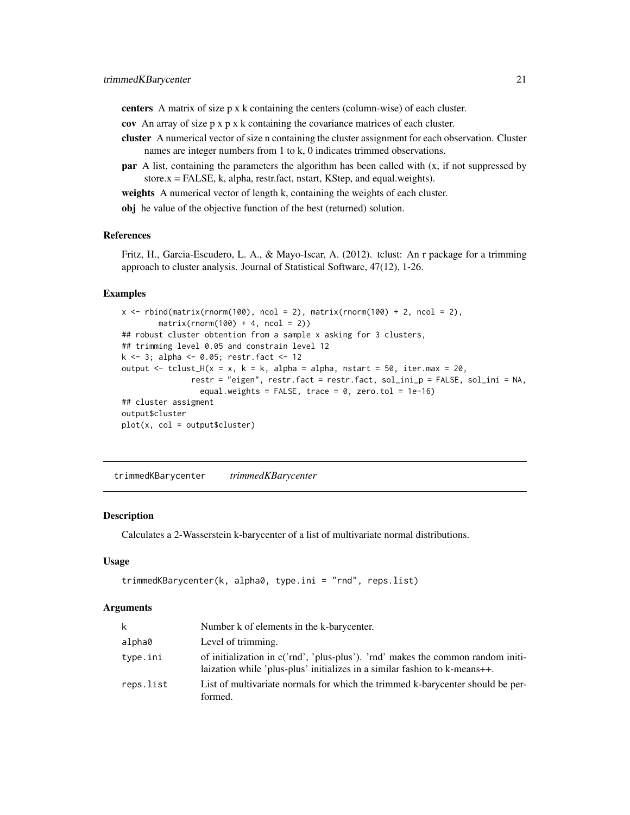<span id="page-20-0"></span>centers A matrix of size p x k containing the centers (column-wise) of each cluster.

- cov An array of size p x p x k containing the covariance matrices of each cluster.
- cluster A numerical vector of size n containing the cluster assignment for each observation. Cluster names are integer numbers from 1 to k, 0 indicates trimmed observations.
- **par** A list, containing the parameters the algorithm has been called with  $(x, if not suppressed by)$  $store.x = FALSE, k, alpha, restr.f., nstart, KStep, and equal. weights).$

weights A numerical vector of length k, containing the weights of each cluster.

obj he value of the objective function of the best (returned) solution.

### References

Fritz, H., Garcia-Escudero, L. A., & Mayo-Iscar, A. (2012). tclust: An r package for a trimming approach to cluster analysis. Journal of Statistical Software, 47(12), 1-26.

### Examples

```
x \le rbind(matrix(rnorm(100), ncol = 2), matrix(rnorm(100) + 2, ncol = 2),
        matrix(rnorm(100) + 4, ncol = 2)## robust cluster obtention from a sample x asking for 3 clusters,
## trimming level 0.05 and constrain level 12
k <- 3; alpha <- 0.05; restr.fact <- 12
output \leq tclust_H(x = x, k = k, alpha = alpha, nstart = 50, iter.max = 20,
               restr = "eigen", restr.fact = restr.fact, sol_ini_p = FALSE, sol_ini = NA,
                 equal.weights = FALSE, trace = 0, zero.tol = 1e-16)
## cluster assigment
output$cluster
plot(x, col = output$cluster)
```
trimmedKBarycenter *trimmedKBarycenter*

#### Description

Calculates a 2-Wasserstein k-barycenter of a list of multivariate normal distributions.

#### Usage

```
trimmedKBarycenter(k, alpha0, type.ini = "rnd", reps.list)
```

| k         | Number k of elements in the k-barycenter.                                                                                                                      |
|-----------|----------------------------------------------------------------------------------------------------------------------------------------------------------------|
| alpha0    | Level of trimming.                                                                                                                                             |
| type.ini  | of initialization in c('rnd', 'plus-plus'). 'rnd' makes the common random initi-<br>laization while 'plus-plus' initializes in a similar fashion to k-means++. |
| reps.list | List of multivariate normals for which the trimmed k-barycenter should be per-<br>formed.                                                                      |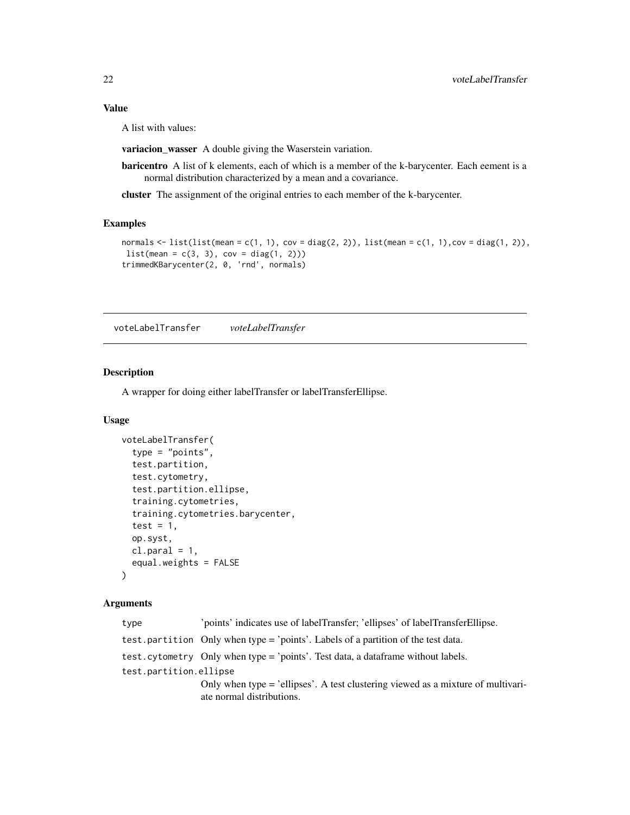<span id="page-21-0"></span>A list with values:

variacion\_wasser A double giving the Waserstein variation.

baricentro A list of k elements, each of which is a member of the k-barycenter. Each eement is a normal distribution characterized by a mean and a covariance.

cluster The assignment of the original entries to each member of the k-barycenter.

### Examples

```
normals <- list(list(mean = c(1, 1), cov = diag(2, 2)), list(mean = c(1, 1),cov = diag(1, 2)),
list(mean = c(3, 3), cov = diag(1, 2)))trimmedKBarycenter(2, 0, 'rnd', normals)
```
voteLabelTransfer *voteLabelTransfer*

### Description

A wrapper for doing either labelTransfer or labelTransferEllipse.

### Usage

```
voteLabelTransfer(
  type = "points",
  test.partition,
  test.cytometry,
  test.partition.ellipse,
  training.cytometries,
  training.cytometries.barycenter,
  test = 1,
  op.syst,
  cl.parallel = 1,
  equal.weights = FALSE
)
```

| type                   | 'points' indicates use of labelTransfer; 'ellipses' of labelTransferEllipse.                                  |
|------------------------|---------------------------------------------------------------------------------------------------------------|
|                        | test.partition Only when type = 'points'. Labels of a partition of the test data.                             |
|                        | test. cytometry Only when type = 'points'. Test data, a data frame without labels.                            |
| test.partition.ellipse |                                                                                                               |
|                        | Only when type = 'ellipses'. A test clustering viewed as a mixture of multivari-<br>ate normal distributions. |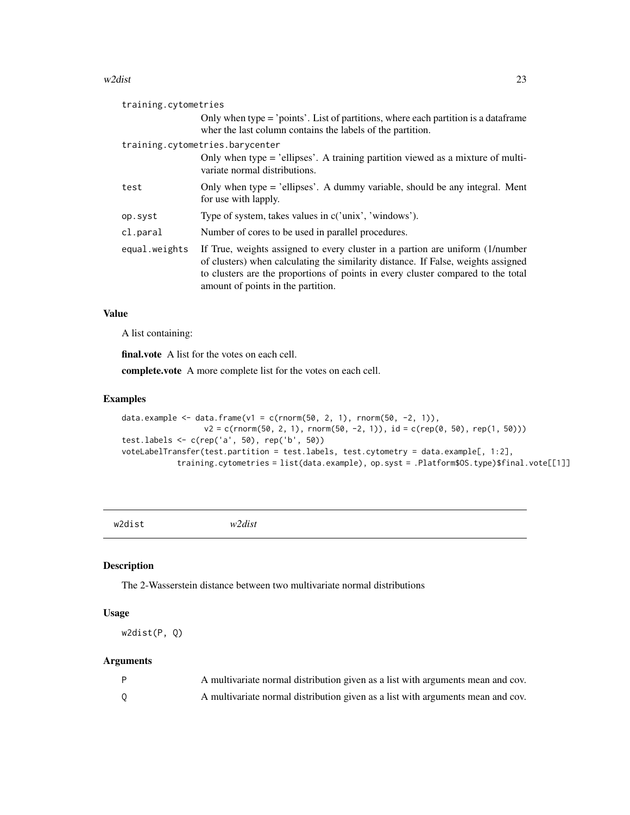#### <span id="page-22-0"></span> $w2$ dist 23

| training.cytometries |                                                                                                                                                                                                                                                                                              |  |
|----------------------|----------------------------------------------------------------------------------------------------------------------------------------------------------------------------------------------------------------------------------------------------------------------------------------------|--|
|                      | Only when type = 'points'. List of partitions, where each partition is a data frame<br>where the last column contains the labels of the partition.                                                                                                                                           |  |
|                      | training.cytometries.barycenter                                                                                                                                                                                                                                                              |  |
|                      | Only when type = 'ellipses'. A training partition viewed as a mixture of multi-<br>variate normal distributions.                                                                                                                                                                             |  |
| test                 | Only when type = 'ellipses'. A dummy variable, should be any integral. Ment<br>for use with lapply.                                                                                                                                                                                          |  |
| op.syst              | Type of system, takes values in c('unix', 'windows').                                                                                                                                                                                                                                        |  |
| cl.paral             | Number of cores to be used in parallel procedures.                                                                                                                                                                                                                                           |  |
| equal.weights        | If True, weights assigned to every cluster in a partion are uniform (1/number<br>of clusters) when calculating the similarity distance. If False, weights assigned<br>to clusters are the proportions of points in every cluster compared to the total<br>amount of points in the partition. |  |

### Value

A list containing:

final.vote A list for the votes on each cell.

complete.vote A more complete list for the votes on each cell.

### Examples

```
data.example <- data.frame(v1 = c(rnorm(50, 2, 1), rnorm(50, -2, 1)),
                  v2 = c(rnorm(50, 2, 1), rnorm(50, -2, 1)), id = c(rep(0, 50), rep(1, 50)))test.labels <- c(rep('a', 50), rep('b', 50))
voteLabelTransfer(test.partition = test.labels, test.cytometry = data.example[, 1:2],
            training.cytometries = list(data.example), op.syst = .Platform$OS.type)$final.vote[[1]]
```
w2dist *w2dist*

### Description

The 2-Wasserstein distance between two multivariate normal distributions

### Usage

```
w2dist(P, Q)
```

| A multivariate normal distribution given as a list with arguments mean and cov. |
|---------------------------------------------------------------------------------|
| A multivariate normal distribution given as a list with arguments mean and cov. |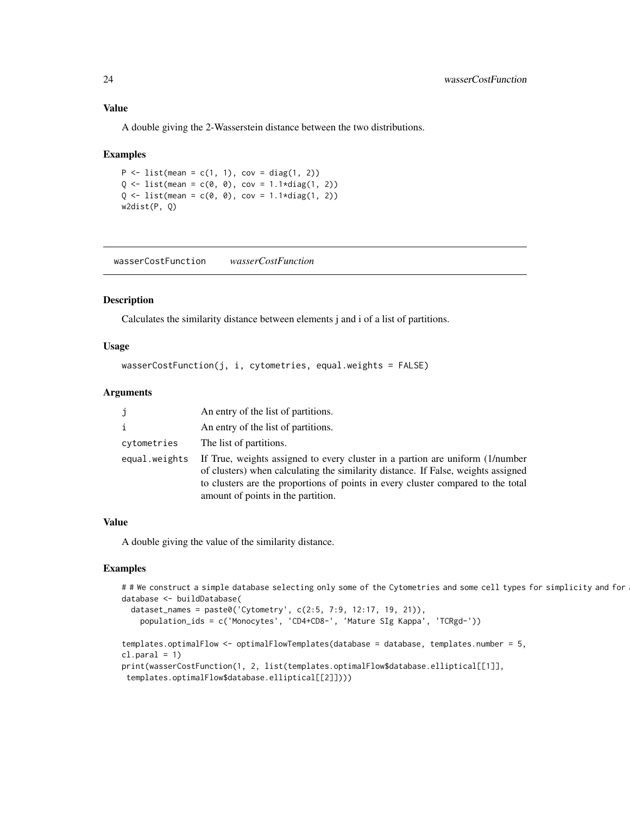A double giving the 2-Wasserstein distance between the two distributions.

#### Examples

 $P \le -$  list(mean = c(1, 1), cov = diag(1, 2))  $Q \le -$  list(mean =  $c(\emptyset, \emptyset)$ , cov = 1.1\*diag(1, 2))  $Q \le -$  list(mean = c(0, 0), cov = 1.1\*diag(1, 2)) w2dist(P, Q)

wasserCostFunction *wasserCostFunction*

### Description

Calculates the similarity distance between elements j and i of a list of partitions.

### Usage

```
wasserCostFunction(j, i, cytometries, equal.weights = FALSE)
```
#### Arguments

| j             | An entry of the list of partitions.                                                                                                                                                                                                                                                          |
|---------------|----------------------------------------------------------------------------------------------------------------------------------------------------------------------------------------------------------------------------------------------------------------------------------------------|
| i             | An entry of the list of partitions.                                                                                                                                                                                                                                                          |
| cytometries   | The list of partitions.                                                                                                                                                                                                                                                                      |
| equal.weights | If True, weights assigned to every cluster in a partion are uniform (1/number<br>of clusters) when calculating the similarity distance. If False, weights assigned<br>to clusters are the proportions of points in every cluster compared to the total<br>amount of points in the partition. |

### Value

A double giving the value of the similarity distance.

```
# # We construct a simple database selecting only some of the Cytometries and some cell types for simplicity and for
database <- buildDatabase(
 dataset_names = paste0('Cytometry', c(2:5, 7:9, 12:17, 19, 21)),
   population_ids = c('Monocytes', 'CD4+CD8-', 'Mature SIg Kappa', 'TCRgd-'))
templates.optimalFlow <- optimalFlowTemplates(database = database, templates.number = 5,
cl.paral = 1)print(wasserCostFunction(1, 2, list(templates.optimalFlow$database.elliptical[[1]],
```
<span id="page-23-0"></span>